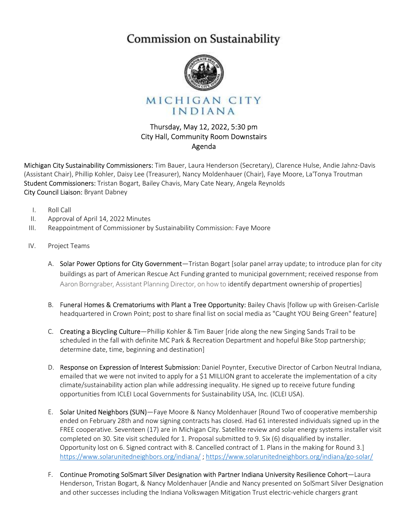## Commission on Sustainability



MICHIGAN CITY INDIANA

## Thursday, May 12, 2022, 5:30 pm City Hall, Community Room Downstairs Agenda

Michigan City Sustainability Commissioners: Tim Bauer, Laura Henderson (Secretary), Clarence Hulse, Andie Jahnz-Davis (Assistant Chair), Phillip Kohler, Daisy Lee (Treasurer), Nancy Moldenhauer (Chair), Faye Moore, La'Tonya Troutman Student Commissioners: Tristan Bogart, Bailey Chavis, Mary Cate Neary, Angela Reynolds City Council Liaison: Bryant Dabney

- I. Roll Call
- II. Approval of April 14, 2022 Minutes
- III. Reappointment of Commissioner by Sustainability Commission: Faye Moore
- IV. Project Teams
	- A. Solar Power Options for City Government—Tristan Bogart [solar panel array update; to introduce plan for city buildings as part of American Rescue Act Funding granted to municipal government; received response from Aaron Borngraber, Assistant Planning Director, on how to identify department ownership of properties]
	- B. Funeral Homes & Crematoriums with Plant a Tree Opportunity: Bailey Chavis [follow up with Greisen-Carlisle headquartered in Crown Point; post to share final list on social media as "Caught YOU Being Green" feature]
	- C. Creating a Bicycling Culture—Phillip Kohler & Tim Bauer [ride along the new Singing Sands Trail to be scheduled in the fall with definite MC Park & Recreation Department and hopeful Bike Stop partnership; determine date, time, beginning and destination]
	- D. Response on Expression of Interest Submission: Daniel Poynter, Executive Director of Carbon Neutral Indiana, emailed that we were not invited to apply for a \$1 MILLION grant to accelerate the implementation of a city climate/sustainability action plan while addressing inequality. He signed up to receive future funding opportunities from ICLEI Local Governments for Sustainability USA, Inc. (ICLEI USA).
	- E. Solar United Neighbors (SUN)—Faye Moore & Nancy Moldenhauer [Round Two of cooperative membership ended on February 28th and now signing contracts has closed. Had 61 interested individuals signed up in the FREE cooperative. Seventeen (17) are in Michigan City. Satellite review and solar energy systems installer visit completed on 30. Site visit scheduled for 1. Proposal submitted to 9. Six (6) disqualified by installer. Opportunity lost on 6. Signed contract with 8. Cancelled contract of 1. Plans in the making for Round 3.] https://www.solarunitedneighbors.org/indiana/ ; https://www.solarunitedneighbors.org/indiana/go-solar/
	- F. Continue Promoting SolSmart Silver Designation with Partner Indiana University Resilience Cohort—Laura Henderson, Tristan Bogart, & Nancy Moldenhauer [Andie and Nancy presented on SolSmart Silver Designation and other successes including the Indiana Volkswagen Mitigation Trust electric-vehicle chargers grant